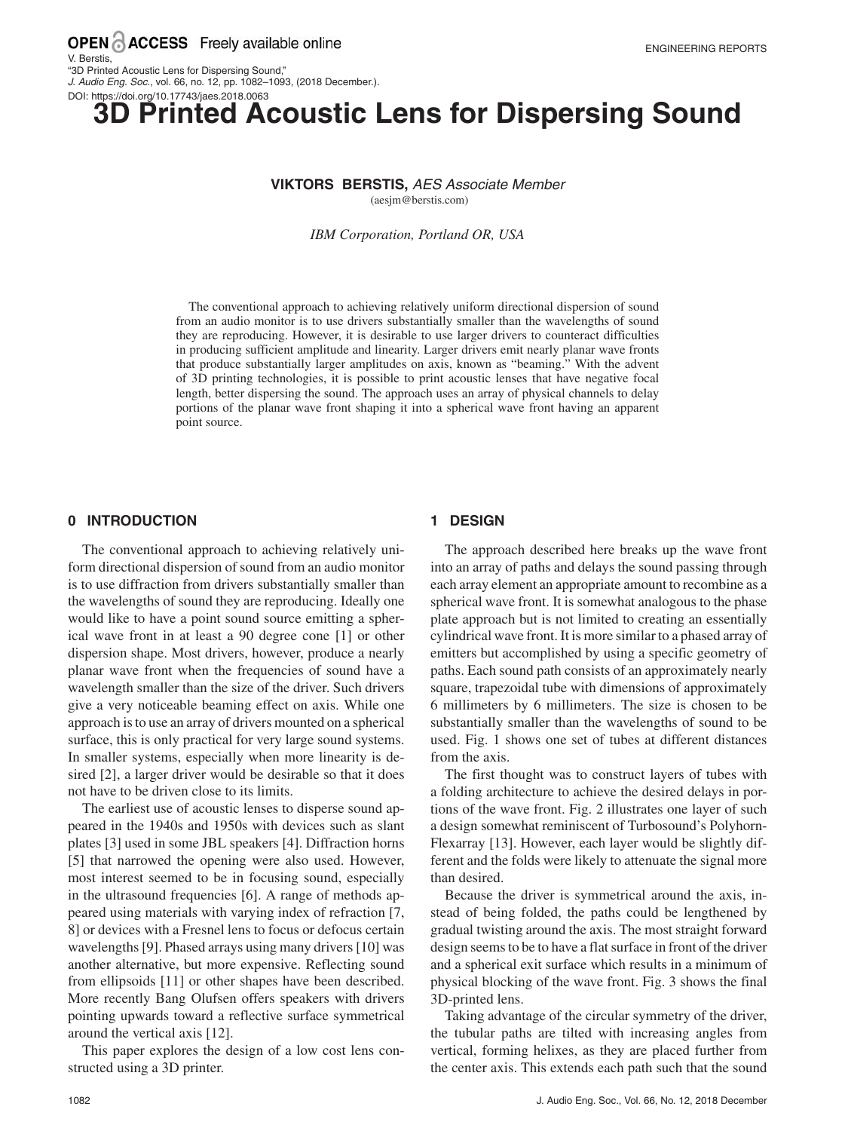# **Printed Acoustic Lens for Dispersing Sound**

#### **VIKTORS BERSTIS,** AES Associate Member

(aesjm@berstis.com)

*IBM Corporation, Portland OR, USA*

The conventional approach to achieving relatively uniform directional dispersion of sound from an audio monitor is to use drivers substantially smaller than the wavelengths of sound they are reproducing. However, it is desirable to use larger drivers to counteract difficulties in producing sufficient amplitude and linearity. Larger drivers emit nearly planar wave fronts that produce substantially larger amplitudes on axis, known as "beaming." With the advent of 3D printing technologies, it is possible to print acoustic lenses that have negative focal length, better dispersing the sound. The approach uses an array of physical channels to delay portions of the planar wave front shaping it into a spherical wave front having an apparent point source.

#### **0 INTRODUCTION**

The conventional approach to achieving relatively uniform directional dispersion of sound from an audio monitor is to use diffraction from drivers substantially smaller than the wavelengths of sound they are reproducing. Ideally one would like to have a point sound source emitting a spherical wave front in at least a 90 degree cone [1] or other dispersion shape. Most drivers, however, produce a nearly planar wave front when the frequencies of sound have a wavelength smaller than the size of the driver. Such drivers give a very noticeable beaming effect on axis. While one approach is to use an array of drivers mounted on a spherical surface, this is only practical for very large sound systems. In smaller systems, especially when more linearity is desired [2], a larger driver would be desirable so that it does not have to be driven close to its limits.

The earliest use of acoustic lenses to disperse sound appeared in the 1940s and 1950s with devices such as slant plates [3] used in some JBL speakers [4]. Diffraction horns [5] that narrowed the opening were also used. However, most interest seemed to be in focusing sound, especially in the ultrasound frequencies [6]. A range of methods appeared using materials with varying index of refraction [7, 8] or devices with a Fresnel lens to focus or defocus certain wavelengths [9]. Phased arrays using many drivers [10] was another alternative, but more expensive. Reflecting sound from ellipsoids [11] or other shapes have been described. More recently Bang Olufsen offers speakers with drivers pointing upwards toward a reflective surface symmetrical around the vertical axis [12].

This paper explores the design of a low cost lens constructed using a 3D printer.

#### **1 DESIGN**

The approach described here breaks up the wave front into an array of paths and delays the sound passing through each array element an appropriate amount to recombine as a spherical wave front. It is somewhat analogous to the phase plate approach but is not limited to creating an essentially cylindrical wave front. It is more similar to a phased array of emitters but accomplished by using a specific geometry of paths. Each sound path consists of an approximately nearly square, trapezoidal tube with dimensions of approximately 6 millimeters by 6 millimeters. The size is chosen to be substantially smaller than the wavelengths of sound to be used. Fig. 1 shows one set of tubes at different distances from the axis.

The first thought was to construct layers of tubes with a folding architecture to achieve the desired delays in portions of the wave front. Fig. 2 illustrates one layer of such a design somewhat reminiscent of Turbosound's Polyhorn-Flexarray [13]. However, each layer would be slightly different and the folds were likely to attenuate the signal more than desired.

Because the driver is symmetrical around the axis, instead of being folded, the paths could be lengthened by gradual twisting around the axis. The most straight forward design seems to be to have a flat surface in front of the driver and a spherical exit surface which results in a minimum of physical blocking of the wave front. Fig. 3 shows the final 3D-printed lens.

Taking advantage of the circular symmetry of the driver, the tubular paths are tilted with increasing angles from vertical, forming helixes, as they are placed further from the center axis. This extends each path such that the sound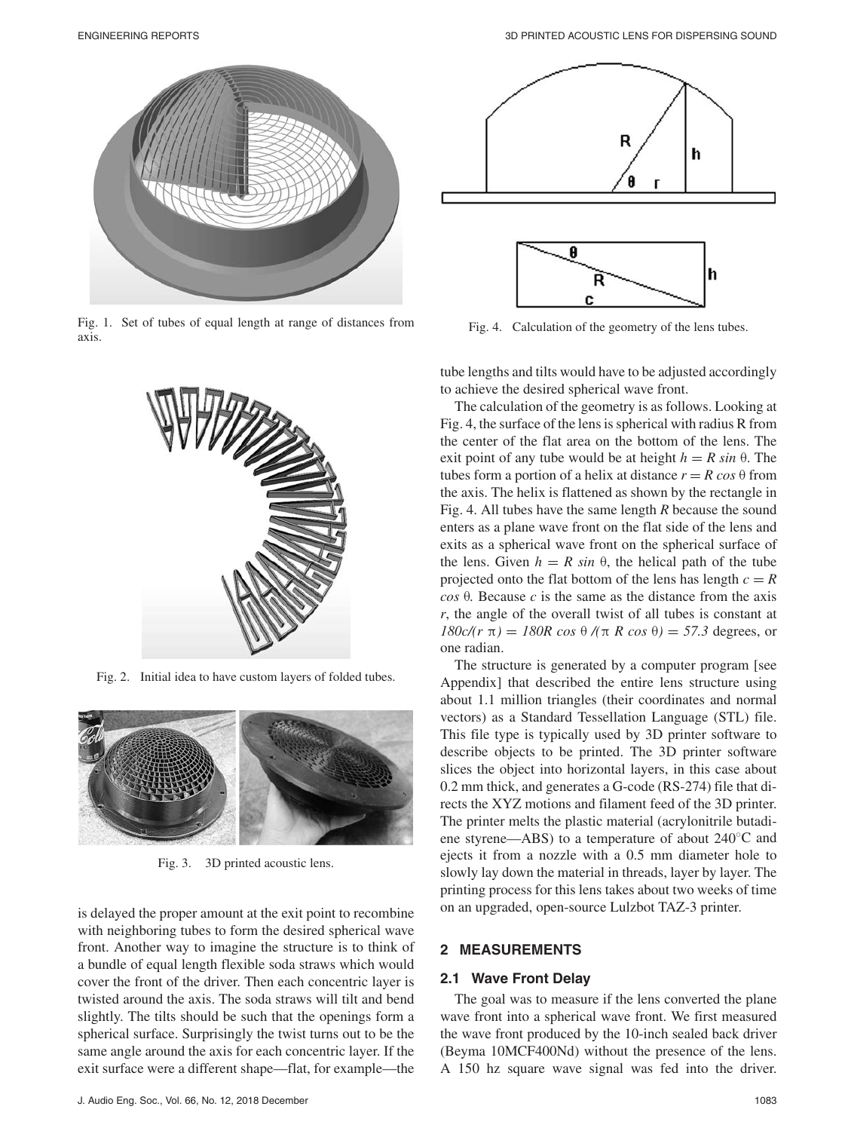

Fig. 1. Set of tubes of equal length at range of distances from axis.



Fig. 2. Initial idea to have custom layers of folded tubes.



Fig. 3. 3D printed acoustic lens.

is delayed the proper amount at the exit point to recombine with neighboring tubes to form the desired spherical wave front. Another way to imagine the structure is to think of a bundle of equal length flexible soda straws which would cover the front of the driver. Then each concentric layer is twisted around the axis. The soda straws will tilt and bend slightly. The tilts should be such that the openings form a spherical surface. Surprisingly the twist turns out to be the same angle around the axis for each concentric layer. If the exit surface were a different shape—flat, for example—the



Fig. 4. Calculation of the geometry of the lens tubes.

tube lengths and tilts would have to be adjusted accordingly to achieve the desired spherical wave front.

The calculation of the geometry is as follows. Looking at Fig. 4, the surface of the lens is spherical with radius R from the center of the flat area on the bottom of the lens. The exit point of any tube would be at height  $h = R \sin \theta$ . The tubes form a portion of a helix at distance  $r = R \cos \theta$  from the axis. The helix is flattened as shown by the rectangle in Fig. 4. All tubes have the same length *R* because the sound enters as a plane wave front on the flat side of the lens and exits as a spherical wave front on the spherical surface of the lens. Given  $h = R \sin \theta$ , the helical path of the tube projected onto the flat bottom of the lens has length  $c = R$ *cos* θ*.* Because *c* is the same as the distance from the axis *r*, the angle of the overall twist of all tubes is constant at *180c/(r* π*)* = *180R cos* θ */(*π *R cos* θ*)* = *57.3* degrees, or one radian.

The structure is generated by a computer program [see Appendix] that described the entire lens structure using about 1.1 million triangles (their coordinates and normal vectors) as a Standard Tessellation Language (STL) file. This file type is typically used by 3D printer software to describe objects to be printed. The 3D printer software slices the object into horizontal layers, in this case about 0.2 mm thick, and generates a G-code (RS-274) file that directs the XYZ motions and filament feed of the 3D printer. The printer melts the plastic material (acrylonitrile butadiene styrene—ABS) to a temperature of about 240◦C and ejects it from a nozzle with a 0.5 mm diameter hole to slowly lay down the material in threads, layer by layer. The printing process for this lens takes about two weeks of time on an upgraded, open-source Lulzbot TAZ-3 printer.

# **2 MEASUREMENTS**

#### **2.1 Wave Front Delay**

The goal was to measure if the lens converted the plane wave front into a spherical wave front. We first measured the wave front produced by the 10-inch sealed back driver (Beyma 10MCF400Nd) without the presence of the lens. A 150 hz square wave signal was fed into the driver.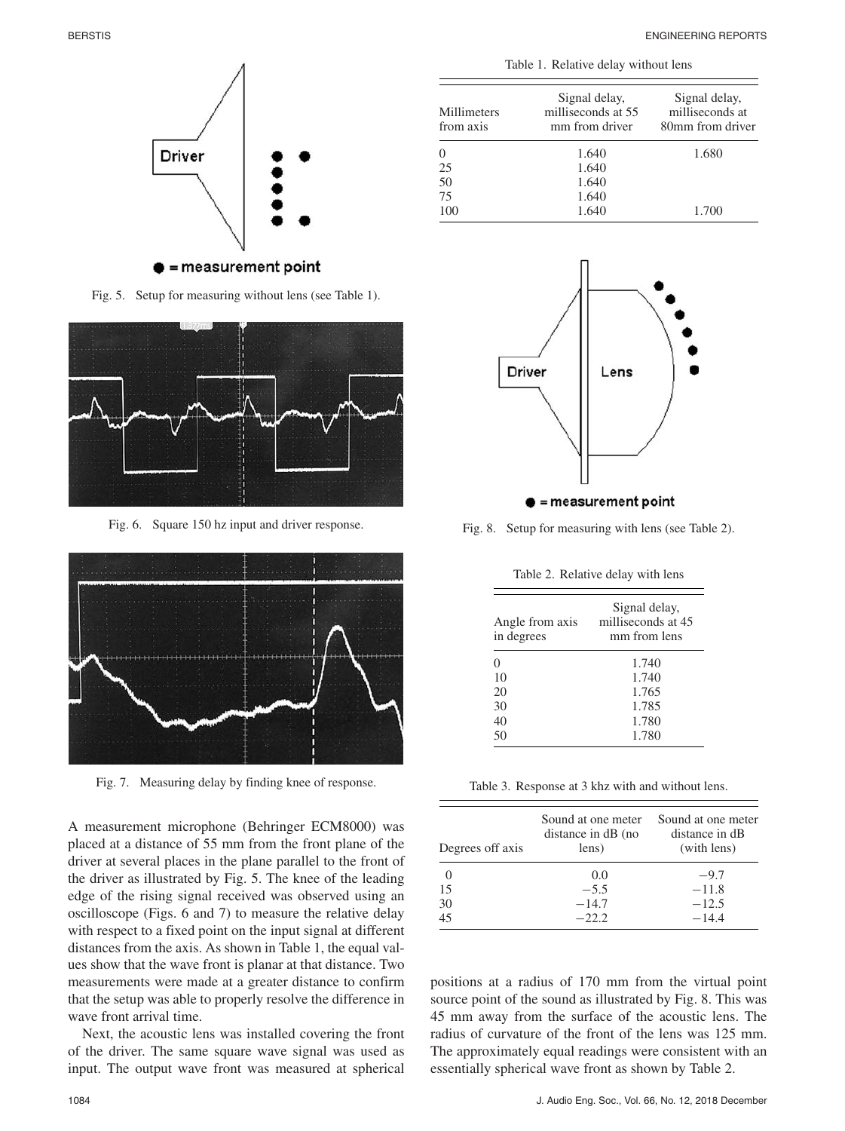Signal delay, milliseconds at 80mm from driver



25 1.640<br>50 1.640 50 1.640<br>75 1.640 75 1.640<br>100 1.640

Millimeters from axis



 $\bullet$  = measurement point

Fig. 5. Setup for measuring without lens (see Table 1).



Fig. 6. Square 150 hz input and driver response.



Fig. 7. Measuring delay by finding knee of response.

A measurement microphone (Behringer ECM8000) was placed at a distance of 55 mm from the front plane of the driver at several places in the plane parallel to the front of the driver as illustrated by Fig. 5. The knee of the leading edge of the rising signal received was observed using an oscilloscope (Figs. 6 and 7) to measure the relative delay with respect to a fixed point on the input signal at different distances from the axis. As shown in Table 1, the equal values show that the wave front is planar at that distance. Two measurements were made at a greater distance to confirm that the setup was able to properly resolve the difference in wave front arrival time.

Next, the acoustic lens was installed covering the front of the driver. The same square wave signal was used as input. The output wave front was measured at spherical

| Driver |
|--------|
|        |



milliseconds at 55 mm from driver

0 1.640 1.680

100 1.640 1.700

 $\bullet$  = measurement point

Fig. 8. Setup for measuring with lens (see Table 2).

Table 2. Relative delay with lens

| Angle from axis<br>in degrees | Signal delay,<br>milliseconds at 45<br>mm from lens |
|-------------------------------|-----------------------------------------------------|
| 0                             | 1.740                                               |
| 10                            | 1.740                                               |
| 20                            | 1.765                                               |
| 30                            | 1.785                                               |
| 40                            | 1.780                                               |
| 50                            | 1.780                                               |

Table 3. Response at 3 khz with and without lens.

| Degrees off axis | Sound at one meter<br>distance in dB (no<br>lens) | Sound at one meter<br>distance in dB<br>(with lens) |
|------------------|---------------------------------------------------|-----------------------------------------------------|
|                  | 0.0                                               | $-9.7$                                              |
| 15               | $-5.5$                                            | $-11.8$                                             |
| 30               | $-14.7$                                           | $-12.5$                                             |
| 45               | $-22.2$                                           | $-14.4$                                             |

positions at a radius of 170 mm from the virtual point source point of the sound as illustrated by Fig. 8. This was 45 mm away from the surface of the acoustic lens. The radius of curvature of the front of the lens was 125 mm. The approximately equal readings were consistent with an essentially spherical wave front as shown by Table 2.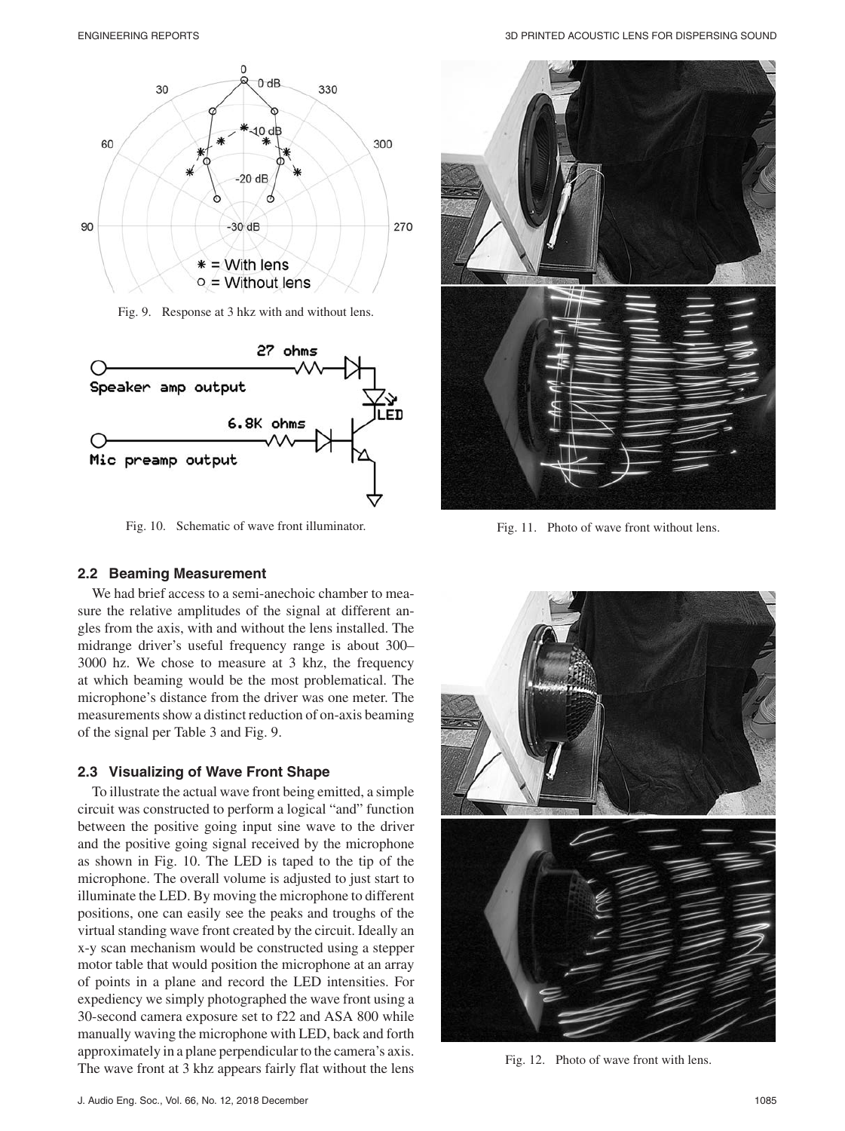

Fig. 9. Response at 3 hkz with and without lens.



Fig. 10. Schematic of wave front illuminator.

#### **2.2 Beaming Measurement**

We had brief access to a semi-anechoic chamber to measure the relative amplitudes of the signal at different angles from the axis, with and without the lens installed. The midrange driver's useful frequency range is about 300– 3000 hz. We chose to measure at 3 khz, the frequency at which beaming would be the most problematical. The microphone's distance from the driver was one meter. The measurements show a distinct reduction of on-axis beaming of the signal per Table 3 and Fig. 9.

#### **2.3 Visualizing of Wave Front Shape**

To illustrate the actual wave front being emitted, a simple circuit was constructed to perform a logical "and" function between the positive going input sine wave to the driver and the positive going signal received by the microphone as shown in Fig. 10. The LED is taped to the tip of the microphone. The overall volume is adjusted to just start to illuminate the LED. By moving the microphone to different positions, one can easily see the peaks and troughs of the virtual standing wave front created by the circuit. Ideally an x-y scan mechanism would be constructed using a stepper motor table that would position the microphone at an array of points in a plane and record the LED intensities. For expediency we simply photographed the wave front using a 30-second camera exposure set to f22 and ASA 800 while manually waving the microphone with LED, back and forth approximately in a plane perpendicular to the camera's axis. The wave front at 3 khz appears fairly flat without the lens



Fig. 11. Photo of wave front without lens.



Fig. 12. Photo of wave front with lens.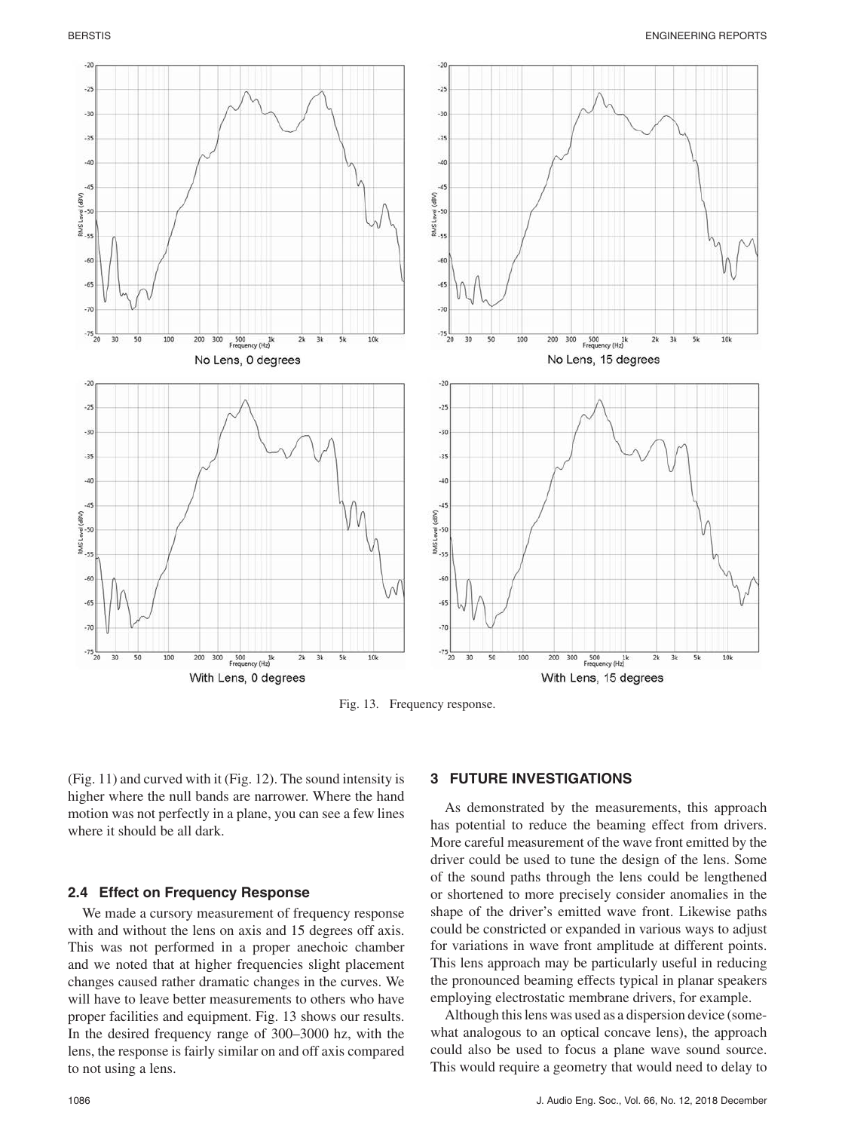

Fig. 13. Frequency response.

(Fig. 11) and curved with it (Fig. 12). The sound intensity is higher where the null bands are narrower. Where the hand motion was not perfectly in a plane, you can see a few lines where it should be all dark.

#### **2.4 Effect on Frequency Response**

We made a cursory measurement of frequency response with and without the lens on axis and 15 degrees off axis. This was not performed in a proper anechoic chamber and we noted that at higher frequencies slight placement changes caused rather dramatic changes in the curves. We will have to leave better measurements to others who have proper facilities and equipment. Fig. 13 shows our results. In the desired frequency range of 300–3000 hz, with the lens, the response is fairly similar on and off axis compared to not using a lens.

# **3 FUTURE INVESTIGATIONS**

As demonstrated by the measurements, this approach has potential to reduce the beaming effect from drivers. More careful measurement of the wave front emitted by the driver could be used to tune the design of the lens. Some of the sound paths through the lens could be lengthened or shortened to more precisely consider anomalies in the shape of the driver's emitted wave front. Likewise paths could be constricted or expanded in various ways to adjust for variations in wave front amplitude at different points. This lens approach may be particularly useful in reducing the pronounced beaming effects typical in planar speakers employing electrostatic membrane drivers, for example.

Although this lens was used as a dispersion device (somewhat analogous to an optical concave lens), the approach could also be used to focus a plane wave sound source. This would require a geometry that would need to delay to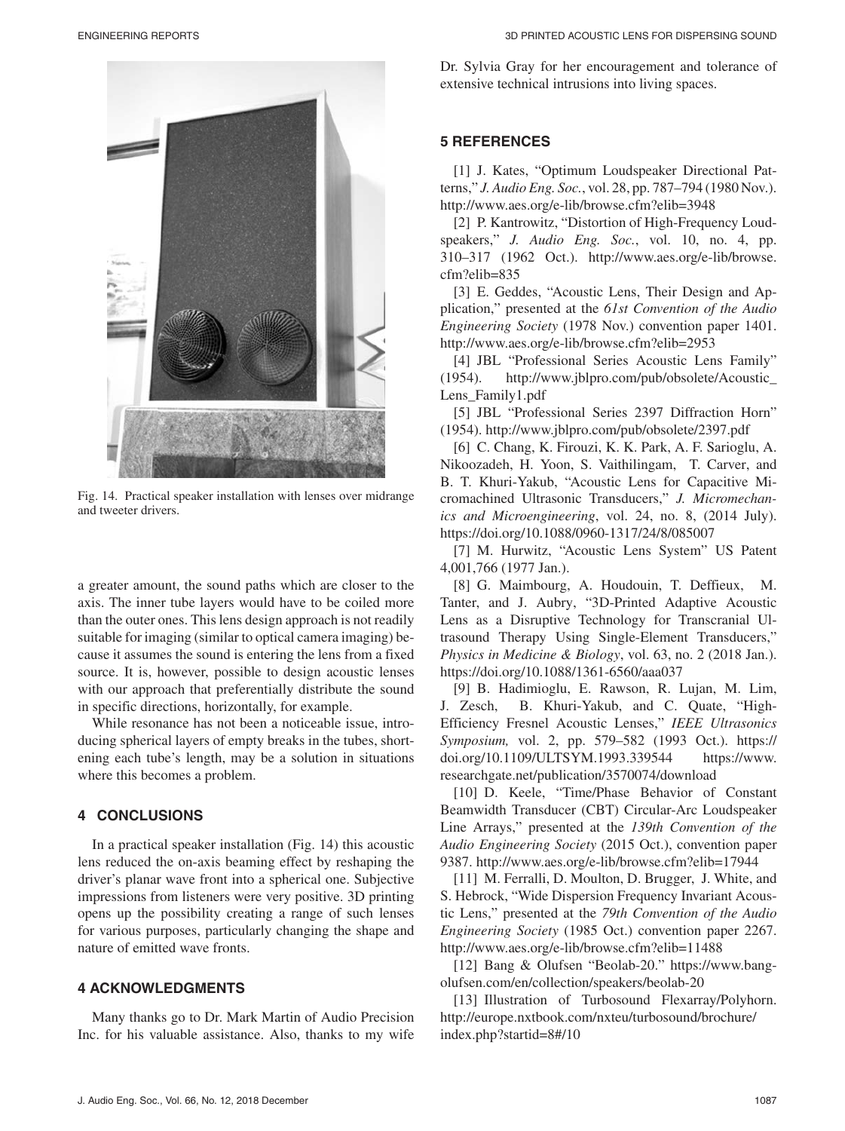

Fig. 14. Practical speaker installation with lenses over midrange and tweeter drivers.

a greater amount, the sound paths which are closer to the axis. The inner tube layers would have to be coiled more than the outer ones. This lens design approach is not readily suitable for imaging (similar to optical camera imaging) because it assumes the sound is entering the lens from a fixed source. It is, however, possible to design acoustic lenses with our approach that preferentially distribute the sound in specific directions, horizontally, for example.

While resonance has not been a noticeable issue, introducing spherical layers of empty breaks in the tubes, shortening each tube's length, may be a solution in situations where this becomes a problem.

# **4 CONCLUSIONS**

In a practical speaker installation (Fig. 14) this acoustic lens reduced the on-axis beaming effect by reshaping the driver's planar wave front into a spherical one. Subjective impressions from listeners were very positive. 3D printing opens up the possibility creating a range of such lenses for various purposes, particularly changing the shape and nature of emitted wave fronts.

# **4 ACKNOWLEDGMENTS**

Many thanks go to Dr. Mark Martin of Audio Precision Inc. for his valuable assistance. Also, thanks to my wife Dr. Sylvia Gray for her encouragement and tolerance of extensive technical intrusions into living spaces.

# **5 REFERENCES**

[1] J. Kates, "Optimum Loudspeaker Directional Patterns," *J. Audio Eng. Soc.*, vol. 28, pp. 787–794 (1980 Nov.). http://www.aes.org/e-lib/browse.cfm?elib=3948

[2] P. Kantrowitz, "Distortion of High-Frequency Loudspeakers," *J. Audio Eng. Soc.*, vol. 10, no. 4, pp. 310–317 (1962 Oct.). http://www.aes.org/e-lib/browse. cfm?elib=835

[3] E. Geddes, "Acoustic Lens, Their Design and Application," presented at the *61st Convention of the Audio Engineering Society* (1978 Nov.) convention paper 1401. http://www.aes.org/e-lib/browse.cfm?elib=2953

[4] JBL "Professional Series Acoustic Lens Family" (1954). http://www.jblpro.com/pub/obsolete/Acoustic\_ Lens Family1.pdf

[5] JBL "Professional Series 2397 Diffraction Horn" (1954). http://www.jblpro.com/pub/obsolete/2397.pdf

[6] C. Chang, K. Firouzi, K. K. Park, A. F. Sarioglu, A. Nikoozadeh, H. Yoon, S. Vaithilingam, T. Carver, and B. T. Khuri-Yakub, "Acoustic Lens for Capacitive Micromachined Ultrasonic Transducers," *J. Micromechanics and Microengineering*, vol. 24, no. 8, (2014 July). https://doi.org/10.1088/0960-1317/24/8/085007

[7] M. Hurwitz, "Acoustic Lens System" US Patent 4,001,766 (1977 Jan.).

[8] G. Maimbourg, A. Houdouin, T. Deffieux, M. Tanter, and J. Aubry, "3D-Printed Adaptive Acoustic Lens as a Disruptive Technology for Transcranial Ultrasound Therapy Using Single-Element Transducers," *Physics in Medicine & Biology*, vol. 63, no. 2 (2018 Jan.). https://doi.org/10.1088/1361-6560/aaa037

[9] B. Hadimioglu, E. Rawson, R. Lujan, M. Lim, J. Zesch, B. Khuri-Yakub, and C. Quate, "High-Efficiency Fresnel Acoustic Lenses," *IEEE Ultrasonics Symposium,* vol. 2, pp. 579–582 (1993 Oct.). https:// doi.org/10.1109/ULTSYM.1993.339544 https://www. researchgate.net/publication/3570074/download

[10] D. Keele, "Time/Phase Behavior of Constant Beamwidth Transducer (CBT) Circular-Arc Loudspeaker Line Arrays," presented at the *139th Convention of the Audio Engineering Society* (2015 Oct.), convention paper 9387. http://www.aes.org/e-lib/browse.cfm?elib=17944

[11] M. Ferralli, D. Moulton, D. Brugger, J. White, and S. Hebrock, "Wide Dispersion Frequency Invariant Acoustic Lens," presented at the *79th Convention of the Audio Engineering Society* (1985 Oct.) convention paper 2267. http://www.aes.org/e-lib/browse.cfm?elib=11488

[12] Bang & Olufsen "Beolab-20." https://www.bangolufsen.com/en/collection/speakers/beolab-20

[13] Illustration of Turbosound Flexarray/Polyhorn. http://europe.nxtbook.com/nxteu/turbosound/brochure/ index.php?startid=8#/10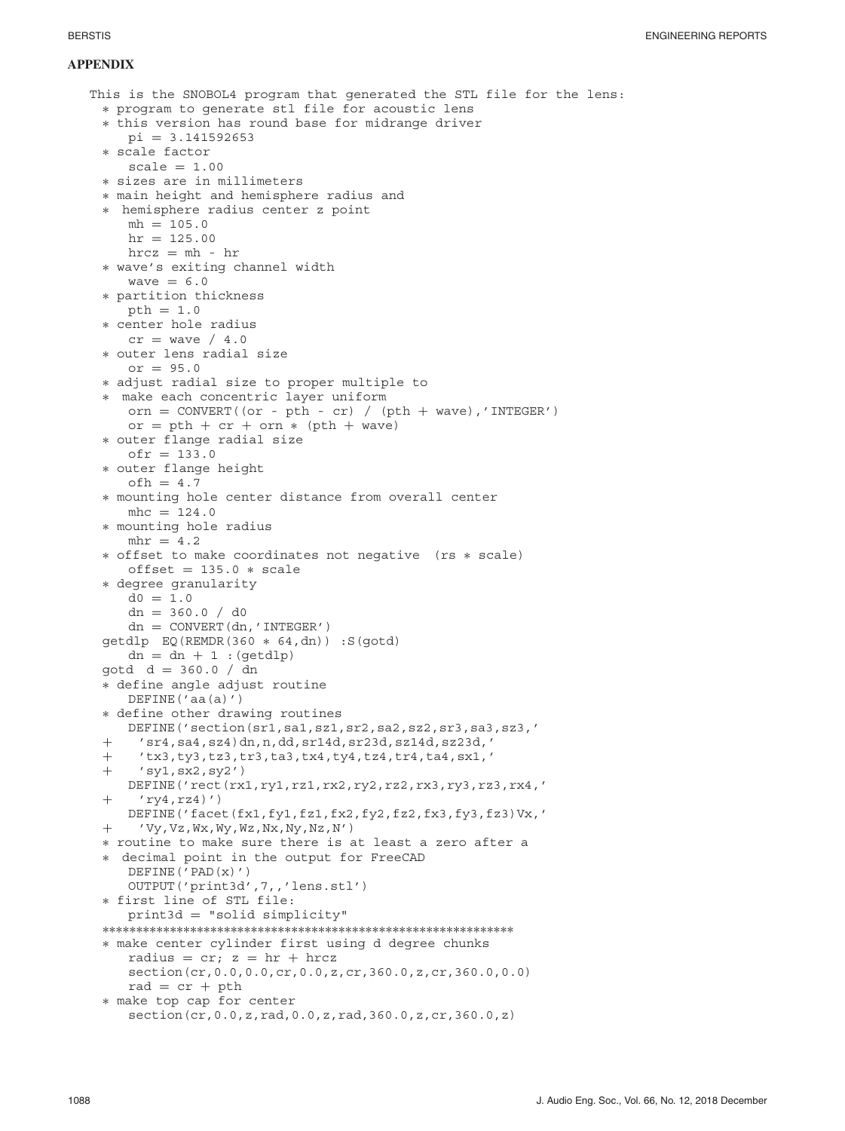#### **APPENDIX**

```
This is the SNOBOL4 program that generated the STL file for the lens:
 ∗ program to generate stl file for acoustic lens
 ∗ this version has round base for midrange driver
    pi = 3.141592653∗ scale factor
    scale = 1.00∗ sizes are in millimeters
 ∗ main height and hemisphere radius and
 ∗ hemisphere radius center z point
    mh = 105.0hr = 125.00hrcz = mh - hr∗ wave's exiting channel width
    wave = 6.0∗ partition thickness
    pth = 1.0
 ∗ center hole radius
    cr = wave / 4.0∗ outer lens radial size
    or = 95.0∗ adjust radial size to proper multiple to
 ∗ make each concentric layer uniform
    orn = CONVERT((or - pth - cr) / (pth + wave), 'INTER')or = pth + cr + orn * (pth + wave)∗ outer flange radial size
    ofr = 133.0∗ outer flange height
    ofh = 4.7∗ mounting hole center distance from overall center
    mhc = 124.0∗ mounting hole radius
    mhr = 4.2∗ offset to make coordinates not negative (rs ∗ scale)
    offset = 135.0 * scale∗ degree granularity
     d0 = 1.0dn = 360.0 / d0dn = CONVERT(dn, 'INTEGR')getdlp EQ(REMDR(360 ∗ 64,dn)) :S(gotd)
     dn = dn + 1 : (qetdlp)
 gotd d = 360.0 / dn
 ∗ define angle adjust routine
    DEFINE('aa(a)')
 ∗ define other drawing routines
    DEFINE('section(sr1,sa1,sz1,sr2,sa2,sz2,sr3,sa3,sz3,'
 + 'sr4,sa4,sz4)dn,n,dd,sr14d,sr23d,sz14d,sz23d,'
 + 'tx3,ty3,tz3,tr3,ta3,tx4,ty4,tz4,tr4,ta4,sx1,'<br>+ 'sy1,sx2,sy2')
      'sy1, sx2, sy2')
    DEFINE('rect(rx1,ry1,rz1,rx2,ry2,rz2,rx3,ry3,rz3,rx4,'
 + 'ry4,rz4)')
    DEFINE('facet(fx1,fy1,fz1,fx2,fy2,fz2,fx3,fy3,fz3)Vx,'
 + 'Vy,Vz,Wx,Wy,Wz,Nx,Ny,Nz,N')
 ∗ routine to make sure there is at least a zero after a
 ∗ decimal point in the output for FreeCAD
    DEFINE('PAD(x)')
     OUTPUT('print3d',7,,'lens.stl')
 ∗ first line of STL file:
     print3d = "solid simplicity"
 ∗∗∗∗∗∗∗∗∗∗∗∗∗∗∗∗∗∗∗∗∗∗∗∗∗∗∗∗∗∗∗∗∗∗∗∗∗∗∗∗∗∗∗∗∗∗∗∗∗∗∗∗∗∗∗∗∗∗∗∗∗
 ∗ make center cylinder first using d degree chunks
     radius = cr; z = hr + hrczsection(cr,0.0,0.0,cr,0.0,z,cr,360.0,z,cr,360.0,0.0)
     rad = cr + pth
 ∗ make top cap for center
     section(cr,0.0,z,rad,0.0,z,rad,360.0,z,cr,360.0,z)
```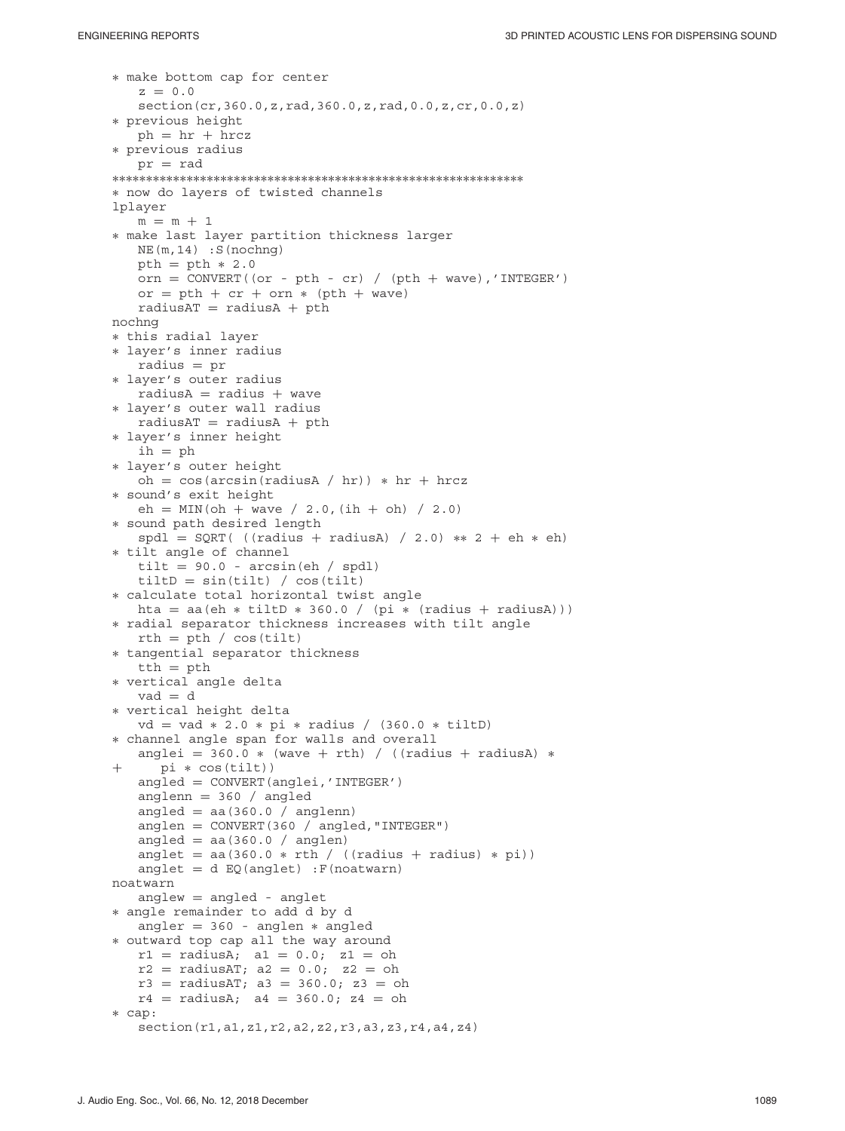```
∗ make bottom cap for center
   z = 0.0section(cr,360.0,z,rad,360.0,z,rad,0.0,z,cr,0.0,z)
∗ previous height
   ph = hr + hrcz∗ previous radius
   pr = rad
∗∗∗∗∗∗∗∗∗∗∗∗∗∗∗∗∗∗∗∗∗∗∗∗∗∗∗∗∗∗∗∗∗∗∗∗∗∗∗∗∗∗∗∗∗∗∗∗∗∗∗∗∗∗∗∗∗∗∗∗∗
∗ now do layers of twisted channels
lplayer
   m = m + 1∗ make last layer partition thickness larger
   NE(m,14) : S(nochng)
   pth = pth * 2.0orn = CONVERT((or - pth - cr) / (pth + wave), 'INTEGR')or = pth + cr + orn * (pth + wave)radiusAT = radiusA + pthnochng
∗ this radial layer
∗ layer's inner radius
   radius = pr∗ layer's outer radius
   radiusA = radius + wave∗ layer's outer wall radius
   radiusAT = radiusA + pth∗ layer's inner height
   ih = ph∗ layer's outer height
   oh = \cos(\arcsin(\text{radiusA} / hr)) * hr + hrcz∗ sound's exit height
   eh = MIN(oh + wave / 2.0, (ih + oh) / 2.0)
∗ sound path desired length
   spdl = SQRT( ((radius + radiusA) / 2.0) ** 2 + eh * eh)
∗ tilt angle of channel
   tilt = 90.0 - arcsin(eh / spdl)tilt D = sin(tilt) / cos(tilt)∗ calculate total horizontal twist angle
   hta = aa(eh * tiltD * 360.0 / (pi * (radius + radiusA)))
∗ radial separator thickness increases with tilt angle
   rth = pth / cos(tilt)∗ tangential separator thickness
   tth = pth∗ vertical angle delta
   vad = d
∗ vertical height delta
   vd = vad ∗ 2.0 ∗ pi ∗ radius / (360.0 ∗ tiltD)
∗ channel angle span for walls and overall
   anglei = 360.0 * (wave + rth) / ((radius + radiusA) *pi * cos(tilt))
   angled = CONVERT(anglei,'INTEGER')
   anglenn = 360 / angled
   angled = aa(360.0 / anglenn)
   anglen = CONVERT(360 / angled,"INTEGER")
   angled = aa(360.0 / anglen)anglet = aa(360.0 * rth / ((radius + radius) * pi))angle = d EQ(angle) : F(noatwarn)noatwarn
   anglew = angled - anglet
∗ angle remainder to add d by d
   angler = 360 - anglen ∗ angled
∗ outward top cap all the way around
   r1 = radiusA; a1 = 0.0; z1 = oh
   r2 = radiusAT; a2 = 0.0; z2 = oh
   r3 = radiusAT; a3 = 360.0; z3 = oh
   r4 = radiusA; a4 = 360.0; z4 = oh
∗ cap:
   section(r1,a1,z1,r2,a2,z2,r3,a3,z3,r4,a4,z4)
```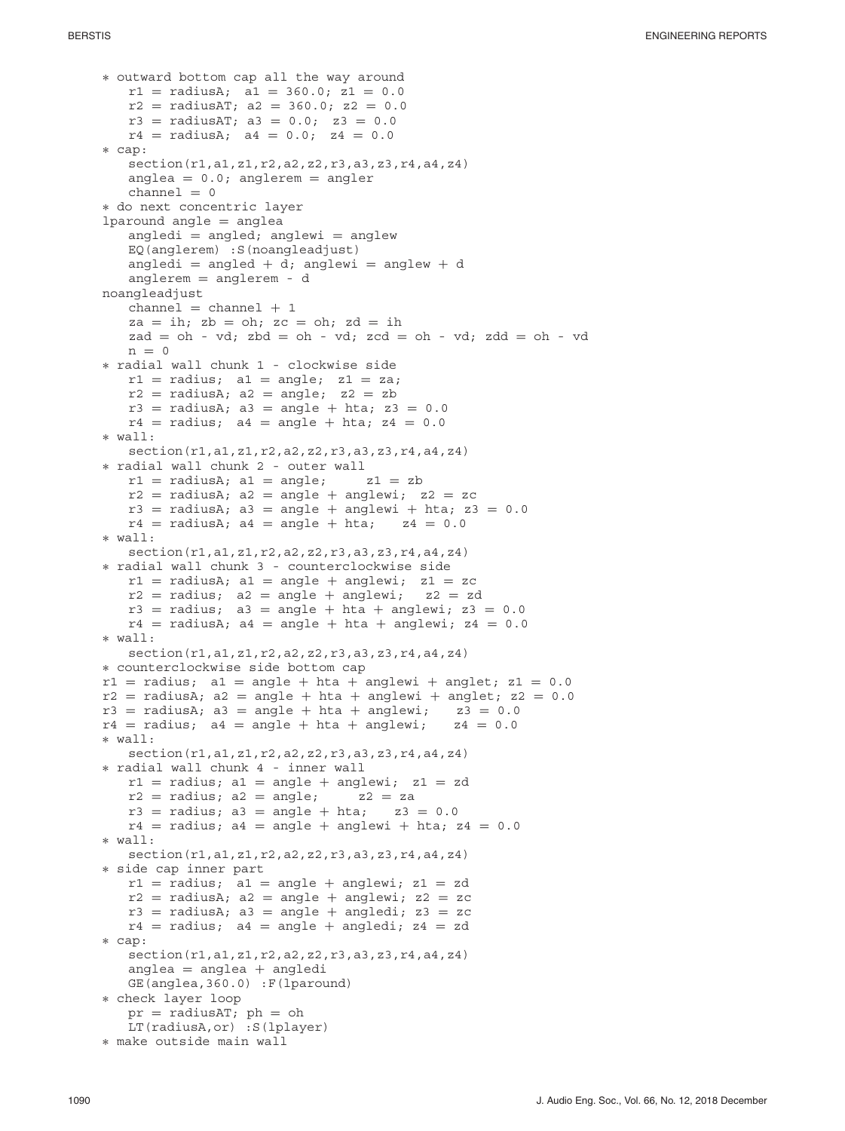```
∗ outward bottom cap all the way around
   r1 = radiusA; a1 = 360.0; z1 = 0.0
   r2 = radiusAT; a2 = 360.0; z2 = 0.0
   r3 = radiusAT; a3 = 0.0; z3 = 0.0
   r4 = radiusA; a4 = 0.0; z4 = 0.0∗ cap:
   section(r1,a1,z1,r2,a2,z2,r3,a3,z3,r4,a4,z4)
   anglea = 0.0; anglerem = angler
   channel = 0∗ do next concentric layer
lparound angle = anglea
   angledi = angle; anglewi = angleEQ(anglerem) :S(noangleadjust)
   angledi = angled + d; anglewi = anglew + d
   anglerem = anglerem - d
noangleadjust
   channel = channel + 1za = ih; zb = oh; zc = oh; zd = ihzad = oh - vd; zbd = oh - vd; zcd = oh - vd; zdd = oh - vdn = 0∗ radial wall chunk 1 - clockwise side
   r1 = radius; a1 = angle; z1 = za;r2 = radiusA; a2 = angle; z2 = zbr3 = radiusA; a3 = angle + hta; z3 = 0.0
   r4 = radius; a4 = angle + hta; z4 = 0.0∗ wall:
   section(r1,a1,z1,r2,a2,z2,r3,a3,z3,r4,a4,z4)
∗ radial wall chunk 2 - outer wall
   r1 = radiusA; a1 = angle;
   r2 = radiusA; a2 = angle + anglewi; z2 = zc
   r3 = radiusA; a3 = angle + anglewi + hta; z3 = 0.0<br>r4 = radiusA; a4 = angle + hta; z4 = 0.0
   r4 = radiusA; a4 = angle + hta;
∗ wall:
   section(r1,a1,z1,r2,a2,z2,r3,a3,z3,r4,a4,z4)
∗ radial wall chunk 3 - counterclockwise side
   r1 = radiusA; a1 = angle + anglewi; z1 = zc<br>r2 = radius; a2 = angle + anglewi; z2 = zd
   r2 = radius; a2 = angle + anglewi;
   r3 = radius; a3 = angle + hta + anglewi; z3 = 0.0
   r4 = radiusA; a4 = angle + hta + anglewi; z4 = 0.0
∗ wall:
   section(r1,a1,z1,r2,a2,z2,r3,a3,z3,r4,a4,z4)
∗ counterclockwise side bottom cap
r1 = radius; al = angle + hta + anglewi + anglet; z1 = 0.0
r2 = radiusA; a2 = angle + hta + anglewi + anglet; z2 = 0.0
r3 = radiusA; a3 = angle + hta + anglewi; z3 = 0.0<br>
r4 = radius; a4 = angle + hta + anglewi; z4 = 0.0
r4 = radius; a4 = angle + hta + anglewi;∗ wall:
   section(r1,a1,z1,r2,a2,z2,r3,a3,z3,r4,a4,z4)
∗ radial wall chunk 4 - inner wall
   r1 = radius; a1 = angle + anglewi; z1 = zd<br>r2 = radius; a2 = angle; z2 = za
   r2 = radius; a2 = angle; z2 = za<br>r3 = radius; a3 = angle + hta; z3 = 0.0r3 = radius; a3 = angle + hta;
   r4 = radius; a4 = angle + anglewi + hta; z4 = 0.0
∗ wall:
   section(r1,a1,z1,r2,a2,z2,r3,a3,z3,r4,a4,z4)
∗ side cap inner part
   r1 = radius; al = angle + anglewi; z1 = zdr2 = radiusA; a2 = angle + anglevi; z2 = zcr3 = radiusA; a3 = angle + angledi; z3 = zc
   r4 = radius; a4 = angle + angledi; z4 = zd∗ cap:
   section(r1,a1,z1,r2,a2,z2,r3,a3,z3,r4,a4,z4)
   anglea = anglea + angledi
   GE(anglea,360.0) :F(lparound)
∗ check layer loop
   pr = radiusAT; ph = ohLT(radiusA,or) :S(lplayer)
∗ make outside main wall
```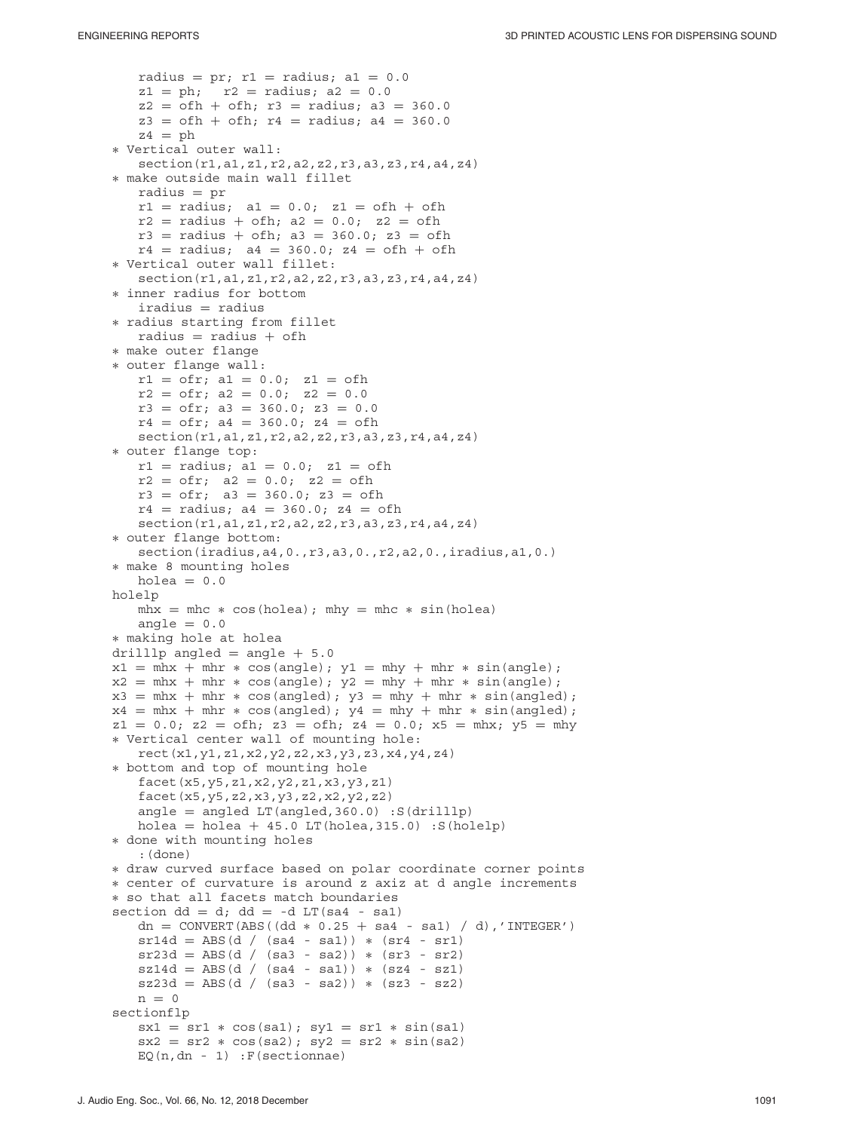```
radius = pr; r1 = radius; a1 = 0.0z1 = ph; r2 = radius; a2 = 0.0z2 = ofh + ofh; r3 = radius; a3 = 360.0z3 = ofh + ofh; r4 = radius; a4 = 360.0z4 = ph∗ Vertical outer wall:
   section(r1,a1,z1,r2,a2,z2,r3,a3,z3,r4,a4,z4)
∗ make outside main wall fillet
   radius = pr
   r1 = radius; a1 = 0.0; z1 = ofh + ofh
   r2 = radius + ofh; a2 = 0.0; z2 = ofh
   r3 = radius + ofh; a3 = 360.0; z3 = ofh
   r4 = radius; a4 = 360.0; z4 = ofh + ofh
∗ Vertical outer wall fillet:
   section(r1,a1,z1,r2,a2,z2,r3,a3,z3,r4,a4,z4)
∗ inner radius for bottom
   iradius = radius
∗ radius starting from fillet
   radius = radius + ofh
∗ make outer flange
∗ outer flange wall:
   r1 = ofr; a1 = 0.0; z1 = ofh
   r2 = ofr; a2 = 0.0; z2 = 0.0r3 = ofr; a3 = 360.0; z3 = 0.0
   r4 = ofr; a4 = 360.0; z4 = ofh
   section(r1,a1,z1,r2,a2,z2,r3,a3,z3,r4,a4,z4)
∗ outer flange top:
   r1 = radius; a1 = 0.0; z1 = ofh
   r2 = ofr; a2 = 0.0; z2 = ofhr3 = ofr; a3 = 360.0; z3 = ofh
   r4 = radius; a4 = 360.0; z4 = ofhsection(r1,a1,z1,r2,a2,z2,r3,a3,z3,r4,a4,z4)
∗ outer flange bottom:
   section(iradius,a4,0.,r3,a3,0.,r2,a2,0.,iradius,a1,0.)
∗ make 8 mounting holes
   holea = 0.0holelp
   mhx = mhc * cos(holea); mhy = mhc * sin(holea)angle = 0.0∗ making hole at holea
drilllp angled = angle + 5.0x1 = mhx + mhr * cos(angle); y1 = mhy + mhr * sin(angle);x2 = mhx + mhr * cos(angle); y2 = mhy + mhr * sin(angle);x3 = mhx + mh + cos(angled); y3 = mh + mh + sin(angled);x4 = mhx + mh + cos(angled); y4 = mh + mh + sin(angled);z1 = 0.0; z2 = ofh; z3 = ofh; z4 = 0.0; x5 = mh; y5 = mh∗ Vertical center wall of mounting hole:
   rect(x1,y1,z1,x2,y2,z2,x3,y3,z3,x4,y4,z4)
∗ bottom and top of mounting hole
   facet(x5,y5,z1,x2,y2,z1,x3,y3,z1)
   facet(x5,y5,z2,x3,y3,z2,x2,y2,z2)
   angle = angled LT(angled, 360.0) :S(drilllp)
   holea = holea + 45.0 LT(holea, 315.0) :S(holelp)
∗ done with mounting holes
   :(done)
∗ draw curved surface based on polar coordinate corner points
∗ center of curvature is around z axiz at d angle increments
∗ so that all facets match boundaries
section dd = d; dd = -d LT(sa4 - sa1)
   dn = CONVERT(ABS((dd * 0.25 + sa4 - sa1) / d),'INTEGER')
   sr14d = ABS(d / (sa4 - sa1)) * (sr4 - sr1)sr23d = ABS(d / (sa3 - sa2)) * (sr3 - sr2)sz14d = ABS(d / (sa4 - sa1)) * (sz4 - sz1)sz23d = ABS(d / (sa3 - sa2)) * (sz3 - sz2)n = 0sectionflp
   sx1 = sr1 * cos(sa1); sy1 = sr1 * sin(sa1)sx2 = sr2 * cos(sa2); sy2 = sr2 * sin(sa2)EQ(n, dn - 1): F(sectionnae)
```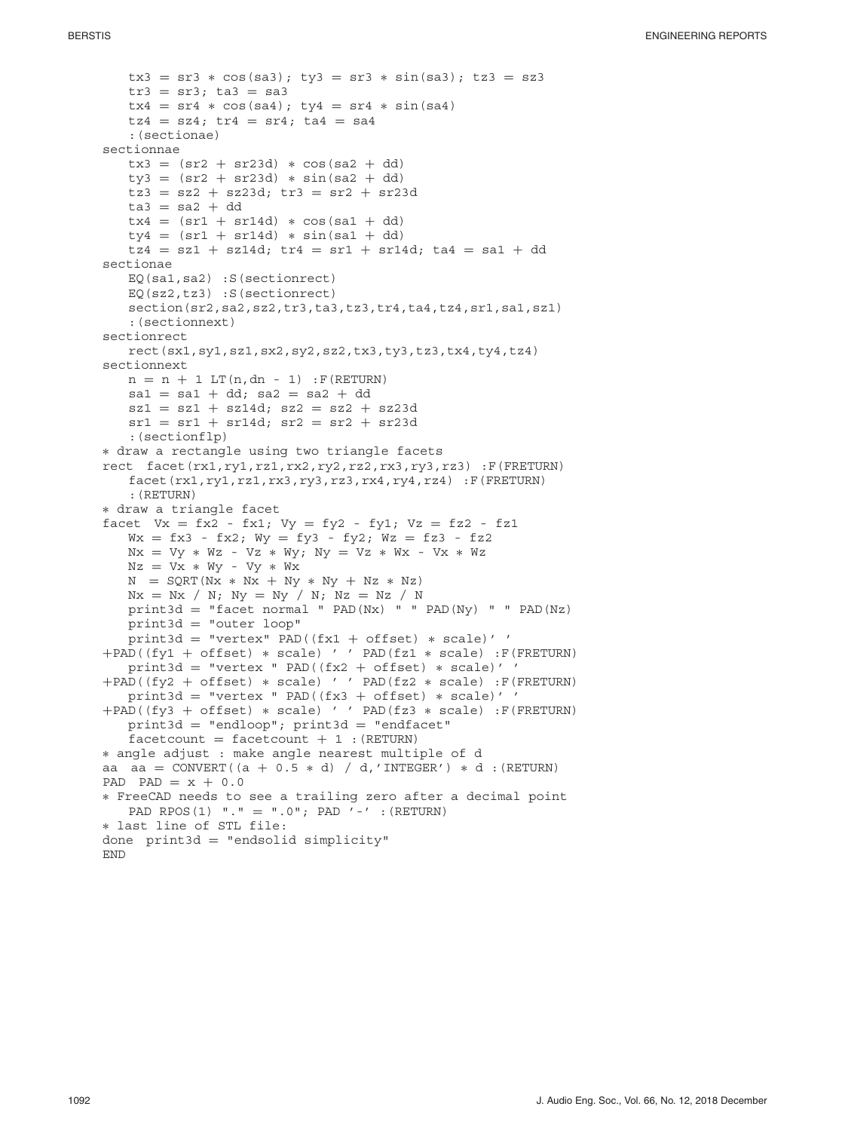```
tx3 = sr3 * cos(sa3); ty3 = sr3 * sin(sa3); tz3 = sz3tr3 = sr3; ta3 = sa3tx4 = sr4 * cos(sa4); ty4 = sr4 * sin(sa4)tz4 = sz4; tr4 = sr4; ta4 = sa4:(sectionae)
sectionnae
   tx3 = (sr2 + sr23d) * cos(sa2 + dd)ty3 = (sr2 + sr23d) * sin(sa2 + dd)tz3 = sz2 + sz23d; tx3 = sr2 + sr23d\text{ta3} = \text{sa2} + \text{dd}tx4 = (sr1 + sr14d) * cos(sa1 + dd)ty4 = (sr1 + sr14d) * sin(sa1 + dd)tz4 = sz1 + sz14d; tr4 = sr1 + sr14d; ta4 = sa1 + ddsectionae
   EQ(sa1,sa2) :S(sectionrect)
   EQ(sz2,tz3) :S(sectionrect)
   section(sr2,sa2,sz2,tr3,ta3,tz3,tr4,ta4,tz4,sr1,sa1,sz1)
   :(sectionnext)
sectionrect
   rect(sx1,sy1,sz1,sx2,sy2,sz2,tx3,ty3,tz3,tx4,ty4,tz4)
sectionnext
   n = n + 1 LT(n, dn - 1) : F(RETURN)
   sal = sal + dd; sa2 = sa2 + dd
   szi = sz1 + sz14d; sz2 = sz2 + sz23dsrl = srl + srl4d; sr2 = sr2 + sr23d:(sectionflp)
∗ draw a rectangle using two triangle facets
rect facet(rx1,ry1,rz1,rx2,ry2,rz2,rx3,ry3,rz3) :F(FRETURN)
   facet(rx1,ry1,rz1,rx3,ry3,rz3,rx4,ry4,rz4) :F(FRETURN)
   :(RETURN)
∗ draw a triangle facet
facet Vx = fx2 - fx1; Vy = fy2 - fy1; Vz = fz2 - fz1Wx = fx3 - fx2; Wy = fy3 - fy2; Wz = fz3 - fz2Nx = Vy ∗ Wz - Vz ∗ Wy; Ny = Vz ∗ Wx - Vx ∗ Wz
   Nz = Vx ∗ Wy - Vy ∗ Wx
   N = SQRT(Nx ∗ Nx + Ny ∗ Ny + Nz ∗ Nz)
   Nx = Nx / N; Ny = Ny / N; Nz = Nz / Nprint3d = "facet normal " PAD(Nx) " PAD(Ny) " " PAD(Nz)print3d = "outer loop"
   print3d = "vertex" PAD((fx1 + offset) ∗ scale)' '
+PAD((fy1 + offset) ∗ scale) ' ' PAD(fz1 ∗ scale) :F(FRETURN)
   print3d = "vertex " PAD((fx2 + offset) * scale)''
+PAD((fy2 + offset) ∗ scale) ' ' PAD(fz2 ∗ scale) :F(FRETURN)
   print3d = "vertex " PAD((fx3 + offset) ∗ scale)' '
+PAD((fy3 + offset) ∗ scale) ' ' PAD(fz3 ∗ scale) :F(FRETURN)
   print3d = "endloop"; print3d = "endfacet"factorout = facetcount + 1 : (RETURN)
∗ angle adjust : make angle nearest multiple of d
aa aa = CONVERT((a + 0.5 * d) / d,'INTERCF') * d : (RETURN)PAD PAD = x + 0.0∗ FreeCAD needs to see a trailing zero after a decimal point
   PAD RPOS(1) "." = ".0"; PAD '-' :(RETURN)
∗ last line of STL file:
done print3d = "endsolid simplify"END
```